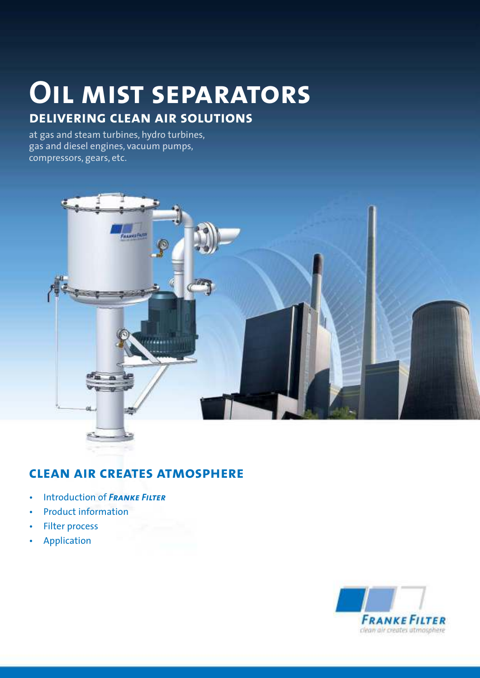# **Oil mist separators**

## **delivering clean air solutions**

at gas and steam turbines, hydro turbines, gas and diesel engines, vacuum pumps, compressors, gears, etc.



## **clean air creates atmosphere**

- • Introduction of *Franke Filter*
- Product information
- Filter process
- • Application

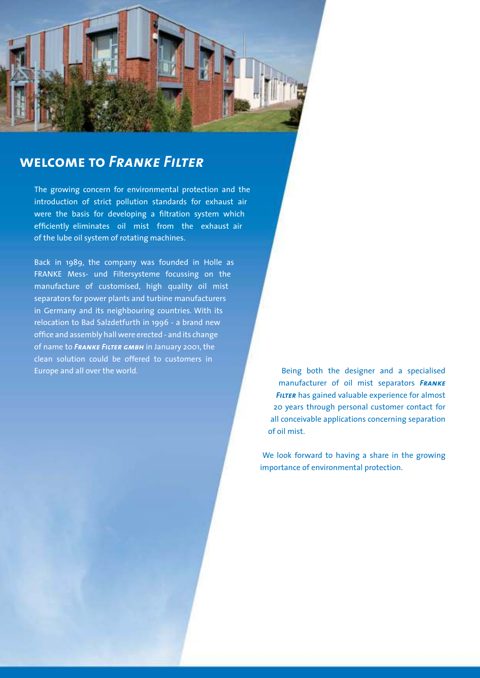## **welcome to** *Franke Filter*

The growing concern for environmental protection and the introduction of strict pollution standards for exhaust air were the basis for developing a filtration system which efficiently eliminates oil mist from the exhaust air of the lube oil system of rotating machines.

Back in 1989, the company was founded in Holle as FRANKE Mess- und Filtersysteme focussing on the manufacture of customised, high quality oil mist separators for power plants and turbine manufacturers in Germany and its neighbouring countries. With its relocation to Bad Salzdetfurth in 1996 - a brand new office and assembly hall were erected - and its change of name to FRANKE FILTER GMBH in January 2001, the clean solution could be offered to customers in Europe and all over the world.  $B$  is the state of the  $B$  both the designer and a specialised

manufacturer of oil mist separators **FRANKE FILTER** has gained valuable experience for almost 20 years through personal customer contact for all conceivable applications concerning separation of oil mist.

We look forward to having a share in the growing importance of environmental protection.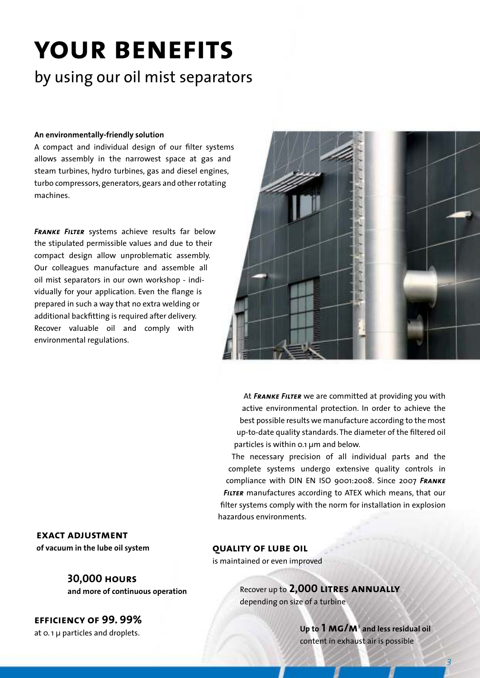# **your benefits**

## by using our oil mist separators

### **An environmentally-friendly solution**

A compact and individual design of our filter systems allows assembly in the narrowest space at gas and steam turbines, hydro turbines, gas and diesel engines, turbo compressors, generators, gears and other rotating machines.

**FRANKE FILTER** systems achieve results far below the stipulated permissible values and due to their compact design allow unproblematic assembly. Our colleagues manufacture and assemble all oil mist separators in our own workshop - individually for your application. Even the flange is prepared in such a way that no extra welding or additional backfitting is required after delivery. Recover valuable oil and comply with environmental regulations.



At **FRANKE FILTER** we are committed at providing you with active environmental protection. In order to achieve the best possible results we manufacture according to the most up-to-date quality standards. The diameter of the filtered oil particles is within  $o.1 \mu m$  and below.

The necessary precision of all individual parts and the complete systems undergo extensive quality controls in compliance with DIN EN ISO 9001:2008. Since 2007 FRANKE **FILTER** manufactures according to ATEX which means, that our filter systems comply with the norm for installation in explosion hazardous environments.

**exact adjustment of vacuum in the lube oil system qUALITY OF LUBE OIL** 

### **30,000 hours**

**and more of continuous operation**

**efficiency of 99. 99%** at  $o.$  1  $\mu$  particles and droplets.

is maintained or even improved

Recover up to **2,000 LITRES ANNUALLY** depending on size of a turbine

> Up to 1 MG/M<sup>3</sup> and less residual oil content in exhaust air is possible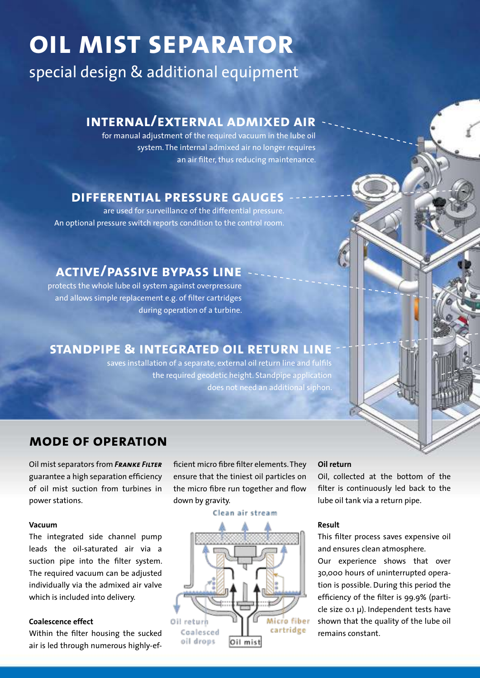# **oil mist separator**

special design & additional equipment

## **internal/external admixed air**

for manual adjustment of the required vacuum in the lube oil system. The internal admixed air no longer requires an air filter, thus reducing maintenance.

## **differential pressure gauges**

are used for surveillance of the differential pressure. An optional pressure switch reports condition to the control room.

## **active/passive bypass line**

protects the whole lube oil system against overpressure and allows simple replacement e.g. of filter cartridges during operation of a turbine.

## **standpipe & integrated oil return line**

saves installation of a separate, external oil return line and fulfils the required geodetic height. Standpipe application does not need an additional siphon.

## **mode of operation**

**Oil mist separators from FRANKE FILTER** guarantee a high separation efficiency of oil mist suction from turbines in power stations.

### **Vacuum**

The integrated side channel pump leads the oil-saturated air via a suction pipe into the filter system. The required vacuum can be adjusted individually via the admixed air valve which is included into delivery.

### **Coalescence effect**

Within the filter housing the sucked air is led through numerous highly-efficient micro fibre filter elements. They ensure that the tiniest oil particles on the micro fibre run together and flow down by gravity.

#### Clean air stream



### **Oil return**

Oil, collected at the bottom of the filter is continuously led back to the lube oil tank via a return pipe.

### **Result**

This filter process saves expensive oil and ensures clean atmosphere.

Our experience shows that over 30,000 hours of uninterrupted operation is possible. During this period the efficiency of the filter is 99.9% (particle size  $0.1 \mu$ ). Independent tests have shown that the quality of the lube oil remains constant.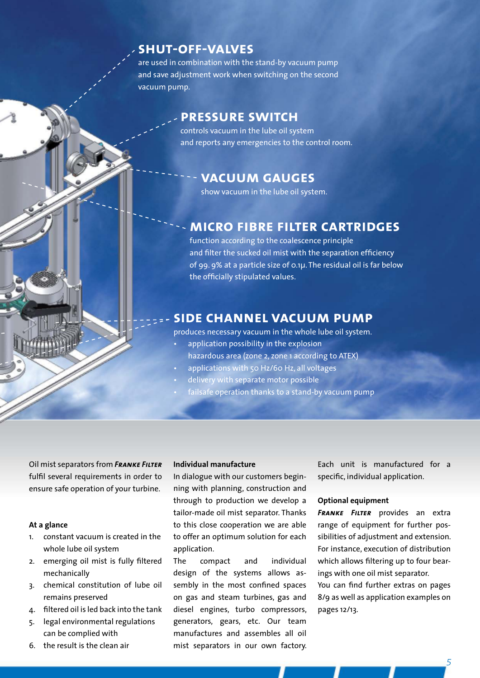## **shut-off-valves**

are used in combination with the stand-by vacuum pump and save adjustment work when switching on the second vacuum pump.

## **pressure switch**

controls vacuum in the lube oil system and reports any emergencies to the control room.

### **vacuum gauges**

show vacuum in the lube oil system.

### **micro fibre filter cartridges**

function according to the coalescence principle and filter the sucked oil mist with the separation efficiency of 99. 9% at a particle size of 0.1µ. The residual oil is far below the officially stipulated values.

### **side channel vacuum pump**

produces necessary vacuum in the whole lube oil system.

- application possibility in the explosion hazardous area (zone 2, zone 1 according to ATEX)
- applications with 50 Hz/60 Hz, all voltages
- delivery with separate motor possible
- failsafe operation thanks to a stand-by vacuum pump

**Oil mist separators from FRANKE FILTER** fulfil several requirements in order to ensure safe operation of your turbine.

### **At a glance**

- 1. constant vacuum is created in the whole lube oil system
- 2. emerging oil mist is fully filtered mechanically
- 3. chemical constitution of lube oil remains preserved
- 4. filtered oil is led back into the tank
- 5. legal environmental regulations can be complied with
- 6. the result is the clean air

### **Individual manufacture**

In dialogue with our customers beginning with planning, construction and through to production we develop a tailor-made oil mist separator. Thanks to this close cooperation we are able to offer an optimum solution for each application.

The compact and individual design of the systems allows assembly in the most confined spaces on gas and steam turbines, gas and diesel engines, turbo compressors, generators, gears, etc. Our team manufactures and assembles all oil mist separators in our own factory. Each unit is manufactured for a specific, individual application.

### **Optional equipment**

**FRANKE FILTER** provides an extra range of equipment for further possibilities of adjustment and extension. For instance, execution of distribution which allows filtering up to four bearings with one oil mist separator.

You can find further extras on pages 8/9 as well as application examples on pages 12/13.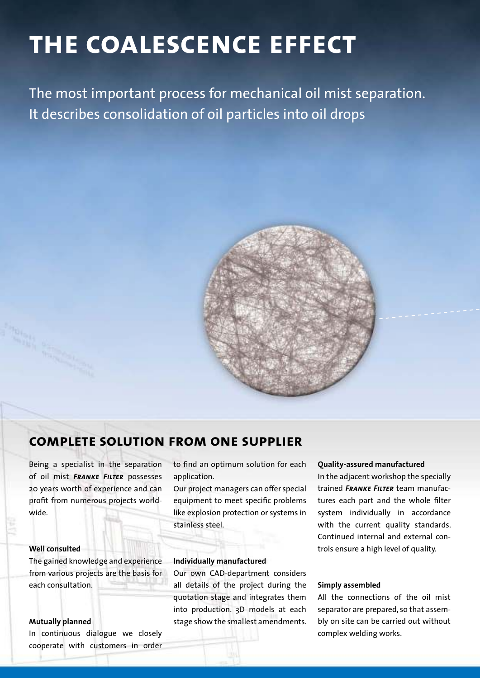# **the coalescence effect**

The most important process for mechanical oil mist separation. It describes consolidation of oil particles into oil drops



## **complete solution from one supplier**

Being a specialist in the separation of oil mist **FRANKE FILTER** possesses 20 years worth of experience and can profit from numerous projects worldwide.

### **Well consulted**

The gained knowledge and experience from various projects are the basis for each consultation.

### **Mutually planned**

In continuous dialogue we closely cooperate with customers in order

to find an optimum solution for each application. 

Our project managers can offer special equipment to meet specific problems like explosion protection or systems in stainless steel.

### **Individually manufactured**

Our own CAD-department considers all details of the project during the quotation stage and integrates them into production. 3D models at each stage show the smallest amendments.

#### **Quality-assured manufactured**

In the adjacent workshop the specially trained **FRANKE FILTER** team manufactures each part and the whole filter system individually in accordance with the current quality standards. Continued internal and external controls ensure a high level of quality.

### **Simply assembled**

All the connections of the oil mist separator are prepared, so that assembly on site can be carried out without complex welding works.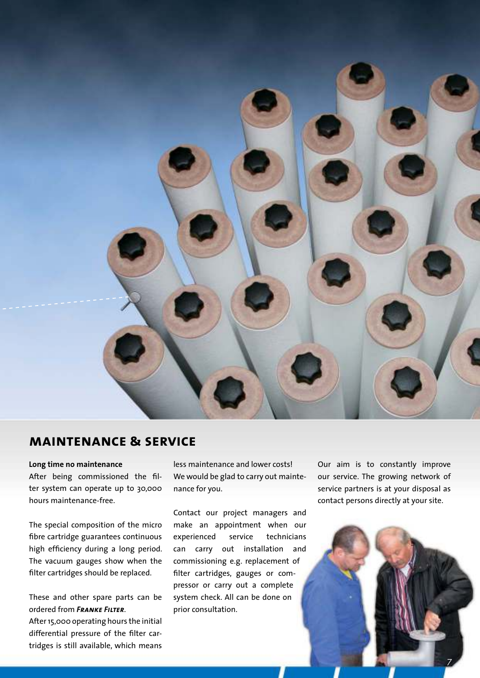

## **maintenance & service**

**Long time no maintenance** After being commissioned the filter system can operate up to 30,000 hours maintenance-free.

The special composition of the micro fibre cartridge guarantees continuous high efficiency during a long period. The vacuum gauges show when the filter cartridges should be replaced.

These and other spare parts can be ordered from *Franke Filter*. After 15,000 operating hours the initial differential pressure of the filter cartridges is still available, which means

less maintenance and lower costs! We would be glad to carry out maintenance for you.

Contact our project managers and make an appointment when our experienced service technicians can carry out installation and commissioning e.g. replacement of filter cartridges, gauges or compressor or carry out a complete system check. All can be done on prior consultation.

Our aim is to constantly improve our service. The growing network of service partners is at your disposal as contact persons directly at your site.

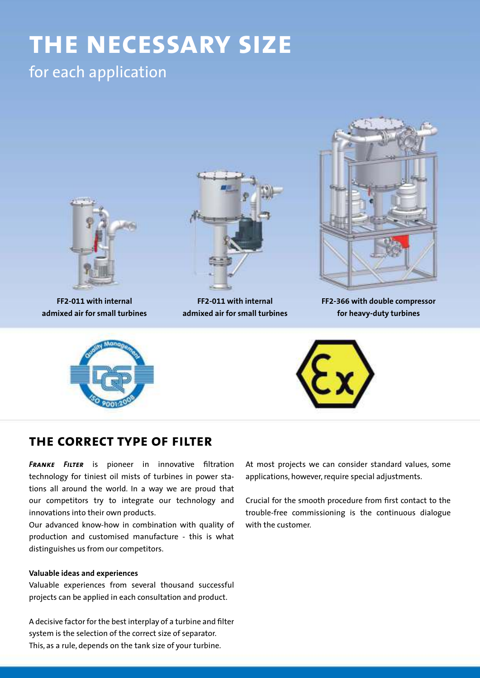# **the necessary size**

## for each application



## **the correct type of filter**

**FRANKE** FILTER is pioneer in innovative filtration technology for tiniest oil mists of turbines in power stations all around the world. In a way we are proud that our competitors try to integrate our technology and innovations into their own products.

Our advanced know-how in combination with quality of production and customised manufacture - this is what distinguishes us from our competitors.

### **Valuable ideas and experiences**

Valuable experiences from several thousand successful projects can be applied in each consultation and product.

A decisive factor for the best interplay of a turbine and filter system is the selection of the correct size of separator. This, as a rule, depends on the tank size of your turbine.

At most projects we can consider standard values, some applications, however, require special adjustments.

Crucial for the smooth procedure from first contact to the trouble-free commissioning is the continuous dialogue with the customer.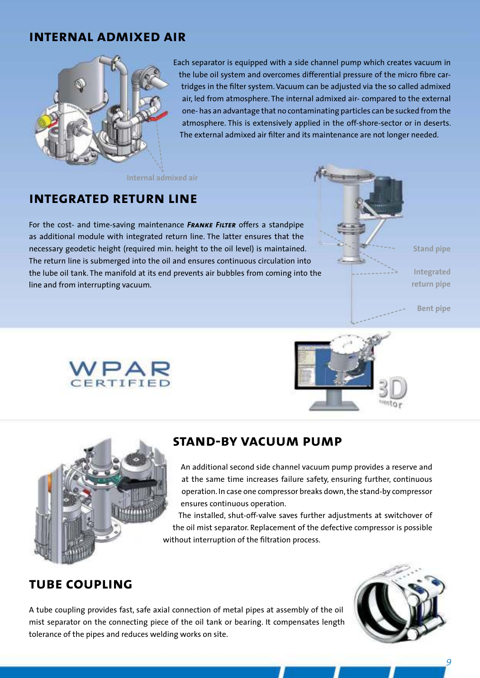## **internal admixed air**



Each separator is equipped with a side channel pump which creates vacuum in the lube oil system and overcomes differential pressure of the micro fibre cartridges in the filter system. Vacuum can be adjusted via the so called admixed air, led from atmosphere. The internal admixed air- compared to the external one- has an advantage that no contaminating particles can be sucked from the atmosphere. This is extensively applied in the off-shore-sector or in deserts. The external admixed air filter and its maintenance are not longer needed.

**Internal admixed air**

## **integrated return line**

For the cost- and time-saving maintenance **FRANKE FILTER** offers a standpipe as additional module with integrated return line. The latter ensures that the necessary geodetic height (required min. height to the oil level) is maintained. The return line is submerged into the oil and ensures continuous circulation into the lube oil tank. The manifold at its end prevents air bubbles from coming into the line and from interrupting vacuum.



**Bent pipe**







## **stand-by vacuum pump**

An additional second side channel vacuum pump provides a reserve and at the same time increases failure safety, ensuring further, continuous operation. In case one compressor breaks down, the stand-by compressor ensures continuous operation.

The installed, shut-off-valve saves further adjustments at switchover of the oil mist separator. Replacement of the defective compressor is possible without interruption of the filtration process.

## **tube coupling**

A tube coupling provides fast, safe axial connection of metal pipes at assembly of the oil mist separator on the connecting piece of the oil tank or bearing. It compensates length tolerance of the pipes and reduces welding works on site.

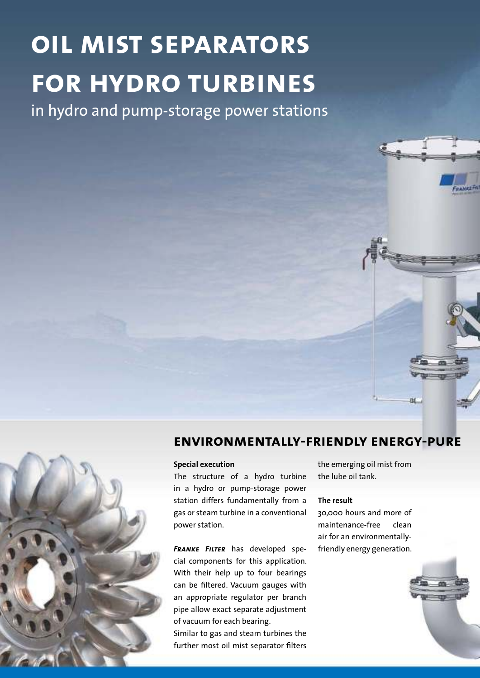# **oil mist separators for hydro turbines**

in hydro and pump-storage power stations



## **environmentally-friendly energy-pure**

**Special execution**

The structure of a hydro turbine in a hydro or pump-storage power station differs fundamentally from a gas or steam turbine in a conventional power station.

**FRANKE FILTER** has developed special components for this application. With their help up to four bearings can be filtered. Vacuum gauges with an appropriate regulator per branch pipe allow exact separate adjustment of vacuum for each bearing.

Similar to gas and steam turbines the further most oil mist separator filters

the emerging oil mist from the lube oil tank.

### **The result**

30,000 hours and more of maintenance-free clean air for an environmentallyfriendly energy generation.

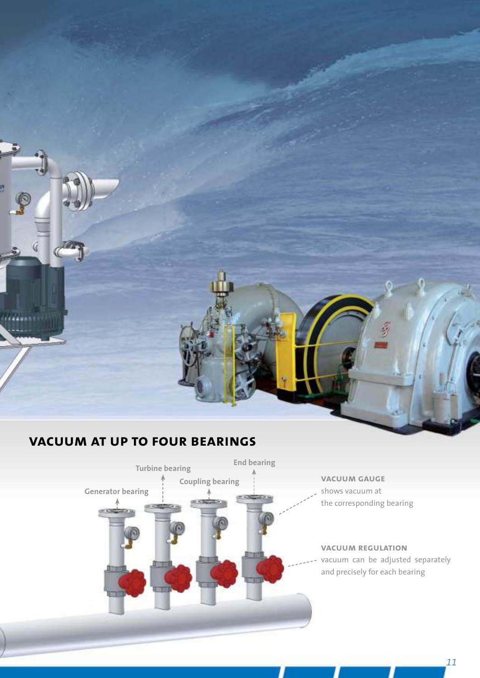

## **vacuum at up to four bearings**

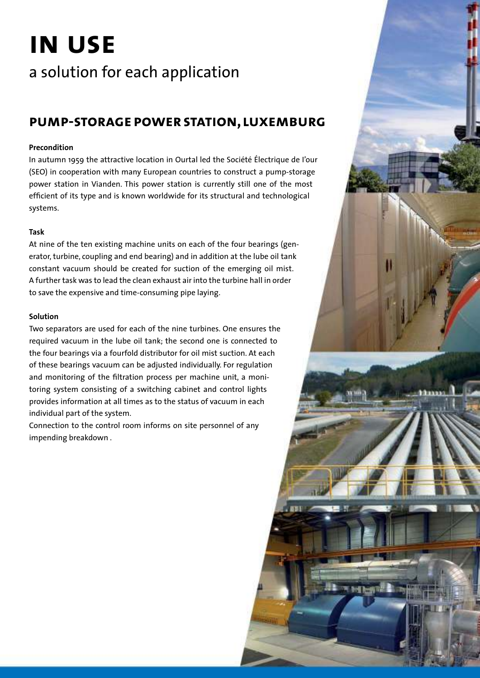# **in use**

## a solution for each application

## **pump-storage power station, luxemburg**

### **Precondition**

In autumn 1959 the attractive location in Ourtal led the Société Électrique de l'our (SEO) in cooperation with many European countries to construct a pump-storage power station in Vianden. This power station is currently still one of the most efficient of its type and is known worldwide for its structural and technological systems.

### **Task**

At nine of the ten existing machine units on each of the four bearings (generator, turbine, coupling and end bearing) and in addition at the lube oil tank constant vacuum should be created for suction of the emerging oil mist. A further task was to lead the clean exhaust air into the turbine hall in order to save the expensive and time-consuming pipe laying.

### **Solution**

Two separators are used for each of the nine turbines. One ensures the required vacuum in the lube oil tank; the second one is connected to the four bearings via a fourfold distributor for oil mist suction. At each of these bearings vacuum can be adjusted individually. For regulation and monitoring of the filtration process per machine unit, a monitoring system consisting of a switching cabinet and control lights provides information at all times as to the status of vacuum in each individual part of the system.

Connection to the control room informs on site personnel of any impending breakdown.

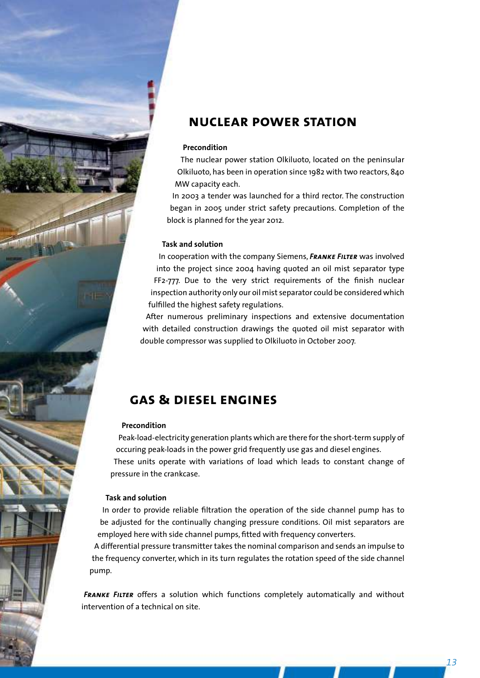## **nuclear power station**

### **Precondition**

The nuclear power station Olkiluoto, located on the peninsular Olkiluoto, has been in operation since 1982 with two reactors, 840 MW capacity each.

In 2003 a tender was launched for a third rector. The construction began in 2005 under strict safety precautions. Completion of the block is planned for the year 2012.

### **Task and solution**

In cooperation with the company Siemens, **FRANKE FILTER** was involved into the project since 2004 having quoted an oil mist separator type FF2-777. Due to the very strict requirements of the finish nuclear inspection authority only our oil mist separator could be considered which fulfilled the highest safety regulations.

After numerous preliminary inspections and extensive documentation with detailed construction drawings the quoted oil mist separator with double compressor was supplied to Olkiluoto in October 2007.

## **gas & diesel engines**

### **Precondition**

Peak-load-electricity generation plants which are there for the short-term supply of occuring peak-loads in the power grid frequently use gas and diesel engines. These units operate with variations of load which leads to constant change of pressure in the crankcase.

### **Task and solution**

In order to provide reliable filtration the operation of the side channel pump has to be adjusted for the continually changing pressure conditions. Oil mist separators are employed here with side channel pumps, fitted with frequency converters.

A differential pressure transmitter takes the nominal comparison and sends an impulse to the frequency converter, which in its turn regulates the rotation speed of the side channel pump.

**FRANKE FILTER** offers a solution which functions completely automatically and without intervention of a technical on site.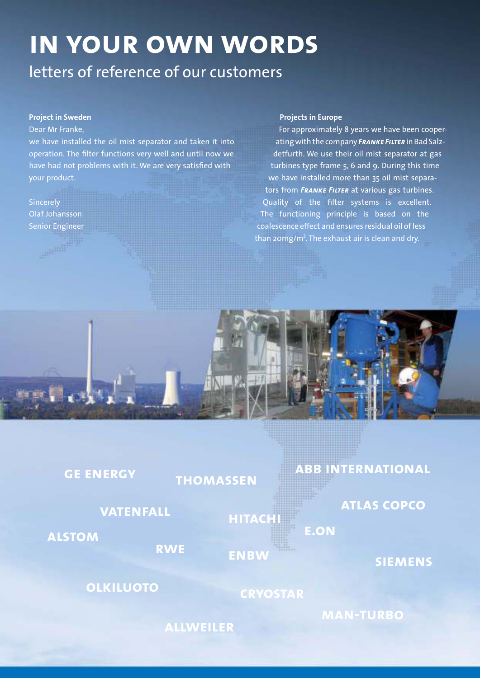# **in your own words**

## letters of reference of our customers

### **Project in Sweden**

### Dear Mr Franke,

we have installed the oil mist separator and taken it into operation. The filter functions very well and until now we have had not problems with it. We are very satisfied with your product.

Sincerely Olaf Johansson Senior Engineer

**GE E** 

**ALSTO** 

#### **Projects in Europe**

For approximately 8 years we have been cooperating with the company **FRANKE FILTER** in Bad Salzdetfurth. We use their oil mist separator at gas turbines type frame 5, 6 and 9. During this time we have installed more than 35 oil mist separators from **FRANKE FILTER** at various gas turbines. Quality of the filter systems is excellent. The functioning principle is based on the coalescence effect and ensures residual oil of less than  $\sf{zom}$ g/m $^3$ . The exhaust air is clean and dry.



| M                | <b>HITACH</b><br><b>RWE</b><br><b>ENBW</b> | <b>E.ON</b> | <b>SIEMENS</b> |
|------------------|--------------------------------------------|-------------|----------------|
| <b>OLKILUOTO</b> | <b>CRYOSTAR</b>                            |             |                |

**allweiler**

**MENS** 

**man-turbo**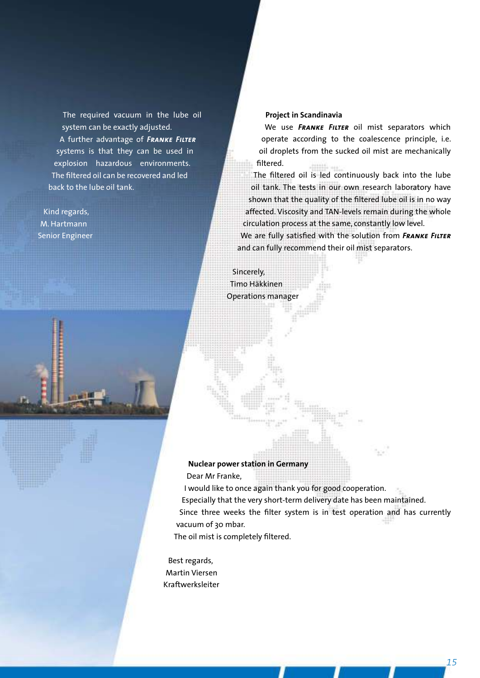The required vacuum in the lube oil system can be exactly adjusted. A further advantage of **FRANKE FILTER** systems is that they can be used in explosion hazardous environments. The filtered oil can be recovered and led back to the lube oil tank.

Kind regards, M. Hartmann Senior Engineer



We use FRANKE FILTER oil mist separators which operate according to the coalescence principle, i.e. oil droplets from the sucked oil mist are mechanically filtered.

The filtered oil is led continuously back into the lube oil tank. The tests in our own research laboratory have shown that the quality of the filtered lube oil is in no way affected. Viscosity and TAN-levels remain during the whole circulation process at the same, constantly low level.

We are fully satisfied with the solution from FRANKE FILTER and can fully recommend their oil mist separators.

Sincerely, Timo Häkkinen Operations manager

### **Nuclear power station in Germany**

Dear Mr Franke,

I would like to once again thank you for good cooperation.

Especially that the very short-term delivery date has been maintained.

Since three weeks the filter system is in test operation and has currently vacuum of 30 mbar.

The oil mist is completely filtered.

Best regards, Martin Viersen Kraftwerksleiter